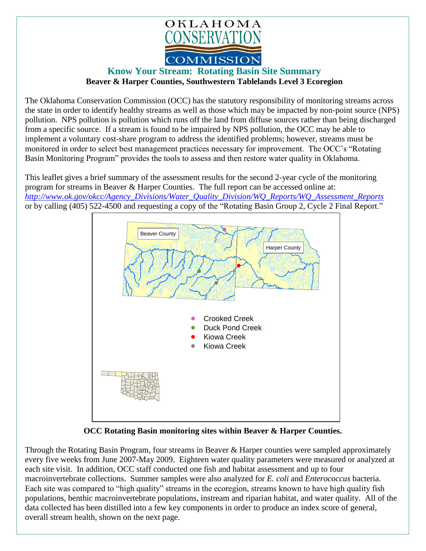

## **Know Your Stream: Rotating Basin Site Summary Beaver & Harper Counties, Southwestern Tablelands Level 3 Ecoregion**

The Oklahoma Conservation Commission (OCC) has the statutory responsibility of monitoring streams across the state in order to identify healthy streams as well as those which may be impacted by non-point source (NPS) pollution. NPS pollution is pollution which runs off the land from diffuse sources rather than being discharged from a specific source. If a stream is found to be impaired by NPS pollution, the OCC may be able to implement a voluntary cost-share program to address the identified problems; however, streams must be monitored in order to select best management practices necessary for improvement. The OCC's "Rotating Basin Monitoring Program" provides the tools to assess and then restore water quality in Oklahoma.

This leaflet gives a brief summary of the assessment results for the second 2-year cycle of the monitoring program for streams in Beaver & Harper Counties. The full report can be accessed online at: *[http://www.ok.gov/okcc/Agency\\_Divisions/Water\\_Quality\\_Division/WQ\\_Reports/WQ\\_Assessment\\_Reports](http://www.ok.gov/okcc/Agency_Divisions/Water_Quality_Division/WQ_Reports/WQ_Assessment_Reports)* or by calling (405) 522-4500 and requesting a copy of the "Rotating Basin Group 2, Cycle 2 Final Report."



**OCC Rotating Basin monitoring sites within Beaver & Harper Counties.**

Through the Rotating Basin Program, four streams in Beaver & Harper counties were sampled approximately every five weeks from June 2007-May 2009. Eighteen water quality parameters were measured or analyzed at each site visit. In addition, OCC staff conducted one fish and habitat assessment and up to four macroinvertebrate collections. Summer samples were also analyzed for *E. coli* and *Enterococcus* bacteria. Each site was compared to "high quality" streams in the ecoregion, streams known to have high quality fish populations, benthic macroinvertebrate populations, instream and riparian habitat, and water quality. All of the data collected has been distilled into a few key components in order to produce an index score of general, overall stream health, shown on the next page.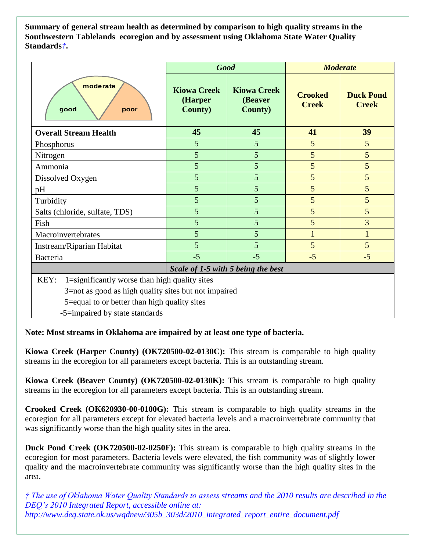**Summary of general stream health as determined by comparison to high quality streams in the Southwestern Tablelands ecoregion and by assessment using Oklahoma State Water Quality Standards***†***.**

|                                                                                                                                                                                                 |                                                  | <b>Good</b>                                      | <b>Moderate</b>                |                                  |
|-------------------------------------------------------------------------------------------------------------------------------------------------------------------------------------------------|--------------------------------------------------|--------------------------------------------------|--------------------------------|----------------------------------|
| moderate<br>good<br>poor                                                                                                                                                                        | <b>Kiowa Creek</b><br>(Harper<br><b>County</b> ) | <b>Kiowa Creek</b><br>(Beaver<br><b>County</b> ) | <b>Crooked</b><br><b>Creek</b> | <b>Duck Pond</b><br><b>Creek</b> |
| <b>Overall Stream Health</b>                                                                                                                                                                    | 45                                               | 45                                               | 41                             | 39                               |
| Phosphorus                                                                                                                                                                                      | 5                                                | 5                                                | 5                              | $5\overline{)}$                  |
| Nitrogen                                                                                                                                                                                        | 5                                                | 5                                                | 5                              | 5                                |
| Ammonia                                                                                                                                                                                         | 5                                                | 5                                                | 5                              | 5                                |
| Dissolved Oxygen                                                                                                                                                                                | 5                                                | 5                                                | 5                              | $5\overline{)}$                  |
| pH                                                                                                                                                                                              | 5                                                | 5                                                | 5                              | 5                                |
| Turbidity                                                                                                                                                                                       | 5                                                | 5                                                | 5                              | 5                                |
| Salts (chloride, sulfate, TDS)                                                                                                                                                                  | 5                                                | 5                                                | 5                              | $5\overline{)}$                  |
| Fish                                                                                                                                                                                            | 5                                                | 5                                                | 5                              | $\overline{3}$                   |
| Macroinvertebrates                                                                                                                                                                              | 5                                                | 5                                                | $\mathbf{1}$                   | $\mathbf{1}$                     |
| Instream/Riparian Habitat                                                                                                                                                                       | 5                                                | 5                                                | 5                              | $5\overline{)}$                  |
| Bacteria                                                                                                                                                                                        | $-5$                                             | $-5$                                             | $-5$                           | $-5$                             |
| Scale of 1-5 with 5 being the best                                                                                                                                                              |                                                  |                                                  |                                |                                  |
| 1=significantly worse than high quality sites<br>KEY:<br>3=not as good as high quality sites but not impaired<br>5=equal to or better than high quality sites<br>-5=impaired by state standards |                                                  |                                                  |                                |                                  |

**Note: Most streams in Oklahoma are impaired by at least one type of bacteria.**

**Kiowa Creek (Harper County) (OK720500-02-0130C):** This stream is comparable to high quality streams in the ecoregion for all parameters except bacteria. This is an outstanding stream.

**Kiowa Creek (Beaver County) (OK720500-02-0130K):** This stream is comparable to high quality streams in the ecoregion for all parameters except bacteria. This is an outstanding stream.

**Crooked Creek (OK620930-00-0100G):** This stream is comparable to high quality streams in the ecoregion for all parameters except for elevated bacteria levels and a macroinvertebrate community that was significantly worse than the high quality sites in the area.

**Duck Pond Creek (OK720500-02-0250F):** This stream is comparable to high quality streams in the ecoregion for most parameters. Bacteria levels were elevated, the fish community was of slightly lower quality and the macroinvertebrate community was significantly worse than the high quality sites in the area.

*† The use of Oklahoma Water Quality Standards to assess streams and the 2010 results are described in the DEQ's 2010 Integrated Report, accessible online at: http://www.deq.state.ok.us/wqdnew/305b\_303d/2010\_integrated\_report\_entire\_document.pdf*